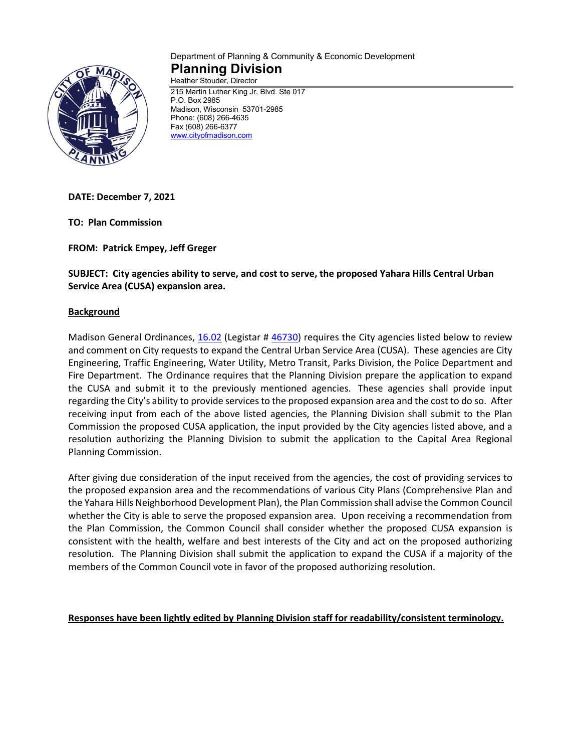

#### Department of Planning & Community & Economic Development **Planning Division** Heather Stouder, Director

215 Martin Luther King Jr. Blvd. Ste 017 P.O. Box 2985 Madison, Wisconsin 53701-2985 Phone: (608) 266-4635 Fax (608) 266-6377 [www.cityofmadison.com](http://www.cityofmadison.com/)

**DATE: December 7, 2021**

**TO: Plan Commission**

**FROM: Patrick Empey, Jeff Greger**

**SUBJECT: City agencies ability to serve, and cost to serve, the proposed Yahara Hills Central Urban Service Area (CUSA) expansion area.**

#### **Background**

Madison General Ordinances, [16.02](https://library.municode.com/wi/madison/codes/code_of_ordinances?nodeId=COORMAWIVOIICH11--19_CH16GEPL_16.02CEURSEAREX) (Legistar # [46730\)](https://madison.legistar.com/LegislationDetail.aspx?ID=3018710&GUID=AC9FF672-2F21-4853-8347-D5055B8068E7&Options=ID|Text|&Search=46730) requires the City agencies listed below to review and comment on City requests to expand the Central Urban Service Area (CUSA). These agencies are City Engineering, Traffic Engineering, Water Utility, Metro Transit, Parks Division, the Police Department and Fire Department. The Ordinance requires that the Planning Division prepare the application to expand the CUSA and submit it to the previously mentioned agencies. These agencies shall provide input regarding the City's ability to provide services to the proposed expansion area and the cost to do so. After receiving input from each of the above listed agencies, the Planning Division shall submit to the Plan Commission the proposed CUSA application, the input provided by the City agencies listed above, and a resolution authorizing the Planning Division to submit the application to the Capital Area Regional Planning Commission.

After giving due consideration of the input received from the agencies, the cost of providing services to the proposed expansion area and the recommendations of various City Plans (Comprehensive Plan and the Yahara Hills Neighborhood Development Plan), the Plan Commission shall advise the Common Council whether the City is able to serve the proposed expansion area. Upon receiving a recommendation from the Plan Commission, the Common Council shall consider whether the proposed CUSA expansion is consistent with the health, welfare and best interests of the City and act on the proposed authorizing resolution. The Planning Division shall submit the application to expand the CUSA if a majority of the members of the Common Council vote in favor of the proposed authorizing resolution.

**Responses have been lightly edited by Planning Division staff for readability/consistent terminology.**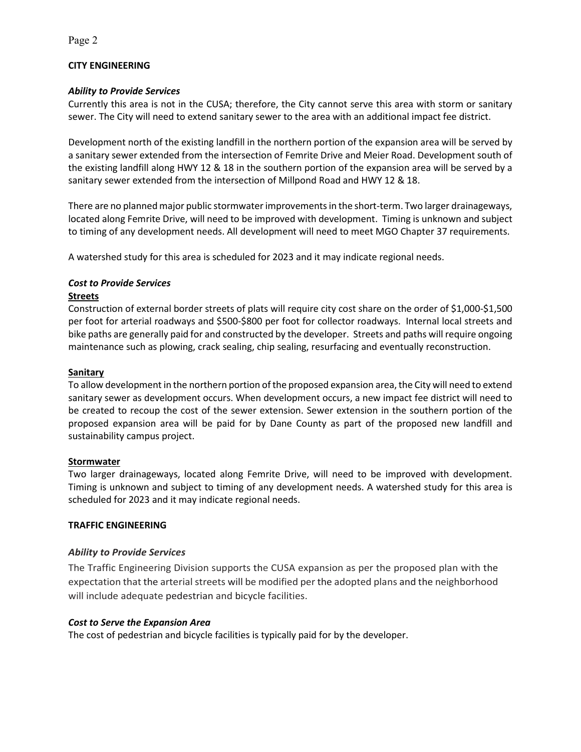## **CITY ENGINEERING**

## *Ability to Provide Services*

Currently this area is not in the CUSA; therefore, the City cannot serve this area with storm or sanitary sewer. The City will need to extend sanitary sewer to the area with an additional impact fee district.

Development north of the existing landfill in the northern portion of the expansion area will be served by a sanitary sewer extended from the intersection of Femrite Drive and Meier Road. Development south of the existing landfill along HWY 12 & 18 in the southern portion of the expansion area will be served by a sanitary sewer extended from the intersection of Millpond Road and HWY 12 & 18.

There are no planned major public stormwater improvements in the short-term. Two larger drainageways, located along Femrite Drive, will need to be improved with development. Timing is unknown and subject to timing of any development needs. All development will need to meet MGO Chapter 37 requirements.

A watershed study for this area is scheduled for 2023 and it may indicate regional needs.

# *Cost to Provide Services*

## **Streets**

Construction of external border streets of plats will require city cost share on the order of \$1,000-\$1,500 per foot for arterial roadways and \$500-\$800 per foot for collector roadways. Internal local streets and bike paths are generally paid for and constructed by the developer. Streets and paths will require ongoing maintenance such as plowing, crack sealing, chip sealing, resurfacing and eventually reconstruction.

## **Sanitary**

To allow development in the northern portion of the proposed expansion area, the City will need to extend sanitary sewer as development occurs. When development occurs, a new impact fee district will need to be created to recoup the cost of the sewer extension. Sewer extension in the southern portion of the proposed expansion area will be paid for by Dane County as part of the proposed new landfill and sustainability campus project.

## **Stormwater**

Two larger drainageways, located along Femrite Drive, will need to be improved with development. Timing is unknown and subject to timing of any development needs. A watershed study for this area is scheduled for 2023 and it may indicate regional needs.

## **TRAFFIC ENGINEERING**

## *Ability to Provide Services*

The Traffic Engineering Division supports the CUSA expansion as per the proposed plan with the expectation that the arterial streets will be modified per the adopted plans and the neighborhood will include adequate pedestrian and bicycle facilities.

## *Cost to Serve the Expansion Area*

The cost of pedestrian and bicycle facilities is typically paid for by the developer.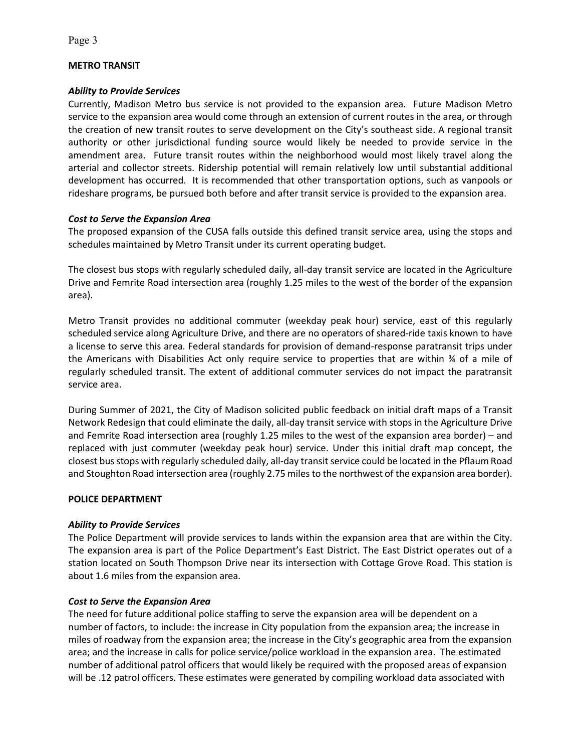### **METRO TRANSIT**

#### *Ability to Provide Services*

Currently, Madison Metro bus service is not provided to the expansion area. Future Madison Metro service to the expansion area would come through an extension of current routes in the area, or through the creation of new transit routes to serve development on the City's southeast side. A regional transit authority or other jurisdictional funding source would likely be needed to provide service in the amendment area. Future transit routes within the neighborhood would most likely travel along the arterial and collector streets. Ridership potential will remain relatively low until substantial additional development has occurred. It is recommended that other transportation options, such as vanpools or rideshare programs, be pursued both before and after transit service is provided to the expansion area.

### *Cost to Serve the Expansion Area*

The proposed expansion of the CUSA falls outside this defined transit service area, using the stops and schedules maintained by Metro Transit under its current operating budget.

The closest bus stops with regularly scheduled daily, all-day transit service are located in the Agriculture Drive and Femrite Road intersection area (roughly 1.25 miles to the west of the border of the expansion area).

Metro Transit provides no additional commuter (weekday peak hour) service, east of this regularly scheduled service along Agriculture Drive, and there are no operators of shared-ride taxis known to have a license to serve this area. Federal standards for provision of demand-response paratransit trips under the Americans with Disabilities Act only require service to properties that are within ¾ of a mile of regularly scheduled transit. The extent of additional commuter services do not impact the paratransit service area.

During Summer of 2021, the City of Madison solicited public feedback on initial draft maps of a Transit Network Redesign that could eliminate the daily, all-day transit service with stops in the Agriculture Drive and Femrite Road intersection area (roughly 1.25 miles to the west of the expansion area border) – and replaced with just commuter (weekday peak hour) service. Under this initial draft map concept, the closest bus stops with regularly scheduled daily, all-day transit service could be located in the Pflaum Road and Stoughton Road intersection area (roughly 2.75 miles to the northwest of the expansion area border).

#### **POLICE DEPARTMENT**

#### *Ability to Provide Services*

The Police Department will provide services to lands within the expansion area that are within the City. The expansion area is part of the Police Department's East District. The East District operates out of a station located on South Thompson Drive near its intersection with Cottage Grove Road. This station is about 1.6 miles from the expansion area.

#### *Cost to Serve the Expansion Area*

The need for future additional police staffing to serve the expansion area will be dependent on a number of factors, to include: the increase in City population from the expansion area; the increase in miles of roadway from the expansion area; the increase in the City's geographic area from the expansion area; and the increase in calls for police service/police workload in the expansion area. The estimated number of additional patrol officers that would likely be required with the proposed areas of expansion will be .12 patrol officers. These estimates were generated by compiling workload data associated with